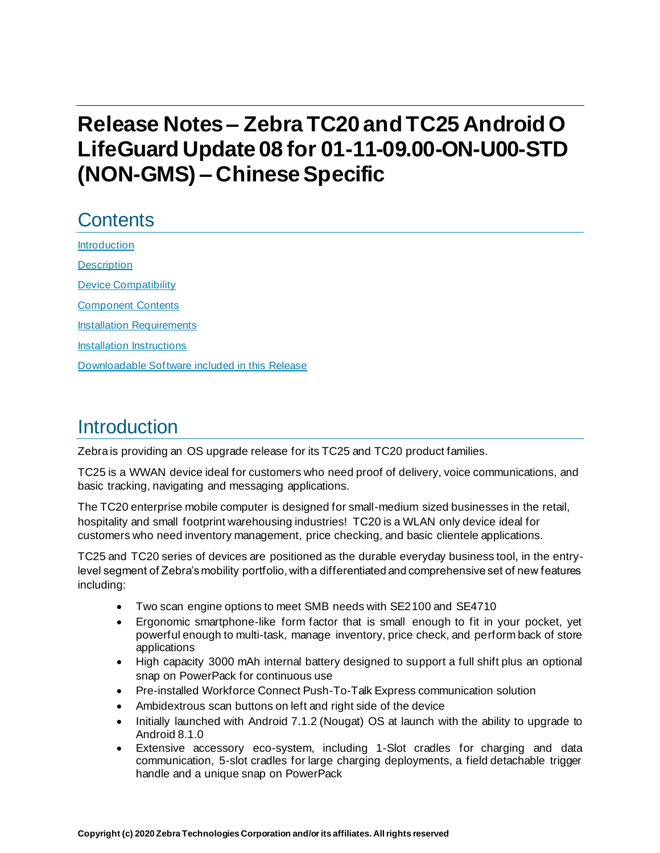# **Release Notes – ZebraTC20 and TC25 Android O LifeGuard Update 08 for 01-11-09.00-ON-U00-STD (NON-GMS) – Chinese Specific**

# **Contents**

[Introduction](#page-0-0) **[Description](#page-1-0)** [Device Compatibility](#page-3-0) [Component Contents](#page-4-0) **[Installation Requirements](#page-5-0)** [Installation Instructions](#page-6-0) [Downloadable Software included in this Release](#page-8-0) 

## <span id="page-0-0"></span>**Introduction**

Zebra is providing an OS upgrade release for its TC25 and TC20 product families.

TC25 is a WWAN device ideal for customers who need proof of delivery, voice communications, and basic tracking, navigating and messaging applications.

The TC20 enterprise mobile computer is designed for small-medium sized businesses in the retail, hospitality and small footprint warehousing industries! TC20 is a WLAN only device ideal for customers who need inventory management, price checking, and basic clientele applications.

TC25 and TC20 series of devices are positioned as the durable everyday business tool, in the entrylevel segment of Zebra's mobility portfolio, with a differentiated and comprehensive set of new features including:

- Two scan engine options to meet SMB needs with SE2100 and SE4710
- Ergonomic smartphone-like form factor that is small enough to fit in your pocket, yet powerful enough to multi-task, manage inventory, price check, and perform back of store applications
- High capacity 3000 mAh internal battery designed to support a full shift plus an optional snap on PowerPack for continuous use
- Pre-installed Workforce Connect Push-To-Talk Express communication solution
- Ambidextrous scan buttons on left and right side of the device
- Initially launched with Android 7.1.2 (Nougat) OS at launch with the ability to upgrade to Android 8.1.0
- Extensive accessory eco-system, including 1-Slot cradles for charging and data communication, 5-slot cradles for large charging deployments, a field detachable trigger handle and a unique snap on PowerPack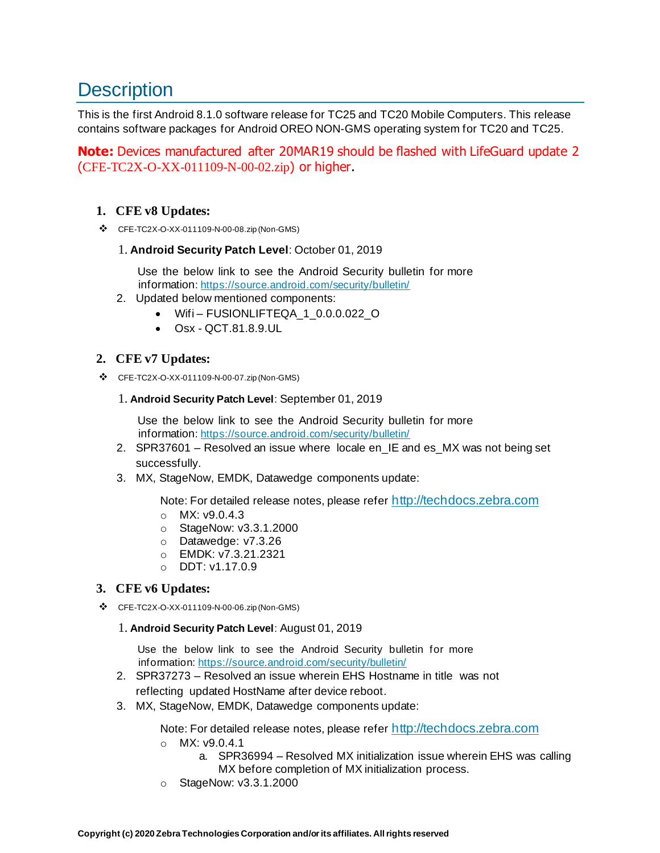# <span id="page-1-0"></span>**Description**

This is the first Android 8.1.0 software release for TC25 and TC20 Mobile Computers. This release contains software packages for Android OREO NON-GMS operating system for TC20 and TC25.

**Note:** Devices manufactured after 20MAR19 should be flashed with LifeGuard update 2 (CFE-TC2X-O-XX-011109-N-00-02.zip) or higher.

#### **1. CFE v8 Updates:**

❖ CFE-TC2X-O-XX-011109-N-00-08.zip (Non-GMS)

#### 1. **Android Security Patch Level**: October 01, 2019

Use the below link to see the Android Security bulletin for more information[: https://source.android.com/security/bulletin/](https://source.android.com/security/bulletin/)

- 2. Updated below mentioned components:
	- Wifi FUSIONLIFTEQA\_1\_0.0.0.022\_O
	- $\bullet$  Osx OCT 81.8.9.UL

#### **2. CFE v7 Updates:**

❖ CFE-TC2X-O-XX-011109-N-00-07.zip (Non-GMS)

#### 1. **Android Security Patch Level**: September 01, 2019

Use the below link to see the Android Security bulletin for more information[: https://source.android.com/security/bulletin/](https://source.android.com/security/bulletin/)

- 2. SPR37601 Resolved an issue where locale en\_IE and es\_MX was not being set successfully.
- 3. MX, StageNow, EMDK, Datawedge components update:

Note: For detailed release notes, please refer [http://techdocs.zebra.com](http://techdocs.zebra.com/)

- o MX: v9.0.4.3
- o StageNow: v3.3.1.2000
- o Datawedge: v7.3.26
- o EMDK: v7.3.21.2321
- o DDT: v1.17.0.9

#### **3. CFE v6 Updates:**

❖ CFE-TC2X-O-XX-011109-N-00-06.zip (Non-GMS)

#### 1. **Android Security Patch Level**: August 01, 2019

Use the below link to see the Android Security bulletin for more information[: https://source.android.com/security/bulletin/](https://source.android.com/security/bulletin/)

- 2. SPR37273 Resolved an issue wherein EHS Hostname in title was not reflecting updated HostName after device reboot.
- 3. MX, StageNow, EMDK, Datawedge components update:

Note: For detailed release notes, please refer [http://techdocs.zebra.com](http://techdocs.zebra.com/)

- o MX: v9.0.4.1
	- a. SPR36994 Resolved MX initialization issue wherein EHS was calling MX before completion of MX initialization process.
- o StageNow: v3.3.1.2000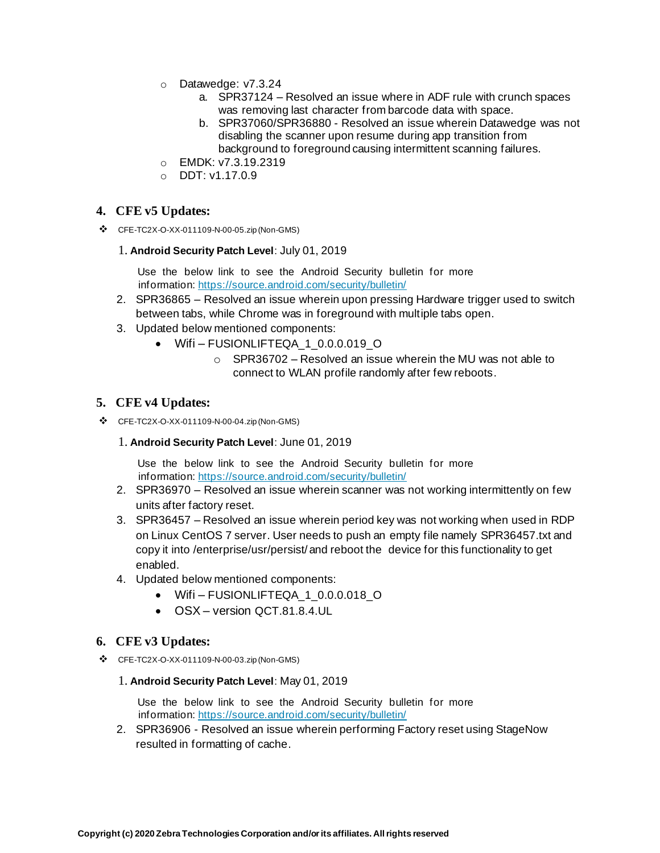- o Datawedge: v7.3.24
	- a. SPR37124 Resolved an issue where in ADF rule with crunch spaces was removing last character from barcode data with space.
	- b. SPR37060/SPR36880 Resolved an issue wherein Datawedge was not disabling the scanner upon resume during app transition from background to foreground causing intermittent scanning failures.
- o EMDK: v7.3.19.2319
- o DDT: v1.17.0.9

#### **4. CFE v5 Updates:**

❖ CFE-TC2X-O-XX-011109-N-00-05.zip (Non-GMS)

#### 1. **Android Security Patch Level**: July 01, 2019

Use the below link to see the Android Security bulletin for more information[: https://source.android.com/security/bulletin/](https://source.android.com/security/bulletin/)

- 2. SPR36865 Resolved an issue wherein upon pressing Hardware trigger used to switch between tabs, while Chrome was in foreground with multiple tabs open.
- 3. Updated below mentioned components:
	- Wifi-FUSIONLIFTEQA 1 0.0.0.019 O
		- o SPR36702 Resolved an issue wherein the MU was not able to connect to WLAN profile randomly after few reboots.

#### **5. CFE v4 Updates:**

- ❖ CFE-TC2X-O-XX-011109-N-00-04.zip (Non-GMS)
	- 1. **Android Security Patch Level**: June 01, 2019

Use the below link to see the Android Security bulletin for more information[: https://source.android.com/security/bulletin/](https://source.android.com/security/bulletin/)

- 2. SPR36970 Resolved an issue wherein scanner was not working intermittently on few units after factory reset.
- 3. SPR36457 Resolved an issue wherein period key was not working when used in RDP on Linux CentOS 7 server. User needs to push an empty file namely SPR36457.txt and copy it into /enterprise/usr/persist/ and reboot the device for this functionality to get enabled.
- 4. Updated below mentioned components:
	- Wifi FUSIONLIFTEQA\_1\_0.0.0.018\_O
	- OSX version QCT.81.8.4.UL

#### **6. CFE v3 Updates:**

❖ CFE-TC2X-O-XX-011109-N-00-03.zip (Non-GMS)

#### 1. **Android Security Patch Level**: May 01, 2019

Use the below link to see the Android Security bulletin for more information[: https://source.android.com/security/bulletin/](https://source.android.com/security/bulletin/)

2. SPR36906 - Resolved an issue wherein performing Factory reset using StageNow resulted in formatting of cache.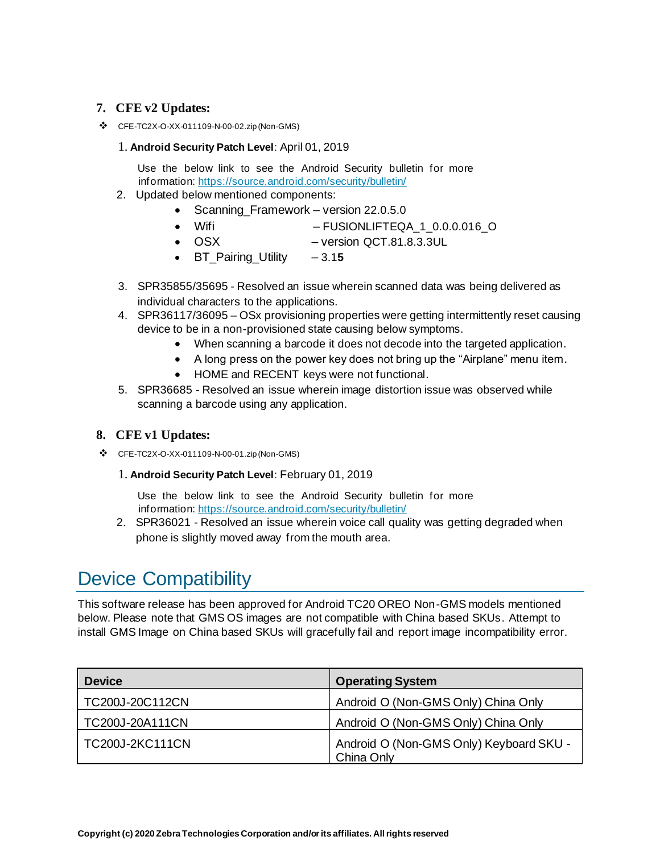#### **7. CFE v2 Updates:**

❖ CFE-TC2X-O-XX-011109-N-00-02.zip (Non-GMS)

#### 1. **Android Security Patch Level**: April 01, 2019

Use the below link to see the Android Security bulletin for more information[: https://source.android.com/security/bulletin/](https://source.android.com/security/bulletin/)

- 2. Updated below mentioned components:
	- Scanning Framework version 22.0.5.0
	- Wifi FUSIONLIFTEQA 1 0.0.0.016 O
	- OSX version QCT.81.8.3.3UL
	- BT\_Pairing\_Utility 3.1**5**
- 3. SPR35855/35695 Resolved an issue wherein scanned data was being delivered as individual characters to the applications.
- 4. SPR36117/36095 OSx provisioning properties were getting intermittently reset causing device to be in a non-provisioned state causing below symptoms.
	- When scanning a barcode it does not decode into [the](https://confluence.zebra.com/pages/createpage.action?spaceKey=LIF&title=customer+apps+or+DWDEMO) targeted application.
	- A long press on the power key does not bring up the "Airplane" menu item.
	- HOME and RECENT keys were not functional.
- 5. SPR36685 Resolved an issue wherein image distortion issue was observed while scanning a barcode using any application.

#### **8. CFE v1 Updates:**

- ❖ CFE-TC2X-O-XX-011109-N-00-01.zip (Non-GMS)
	- 1. **Android Security Patch Level**: February 01, 2019

Use the below link to see the Android Security bulletin for more information[: https://source.android.com/security/bulletin/](https://source.android.com/security/bulletin/)

2. SPR36021 - Resolved an issue wherein voice call quality was getting degraded when phone is slightly moved away from the mouth area.

# <span id="page-3-0"></span>Device Compatibility

This software release has been approved for Android TC20 OREO Non-GMS models mentioned below. Please note that GMS OS images are not compatible with China based SKUs. Attempt to install GMS Image on China based SKUs will gracefully fail and report image incompatibility error.

| <b>Device</b>          | <b>Operating System</b>                               |
|------------------------|-------------------------------------------------------|
| TC200J-20C112CN        | Android O (Non-GMS Only) China Only                   |
| TC200J-20A111CN        | Android O (Non-GMS Only) China Only                   |
| <b>TC200J-2KC111CN</b> | Android O (Non-GMS Only) Keyboard SKU -<br>China Only |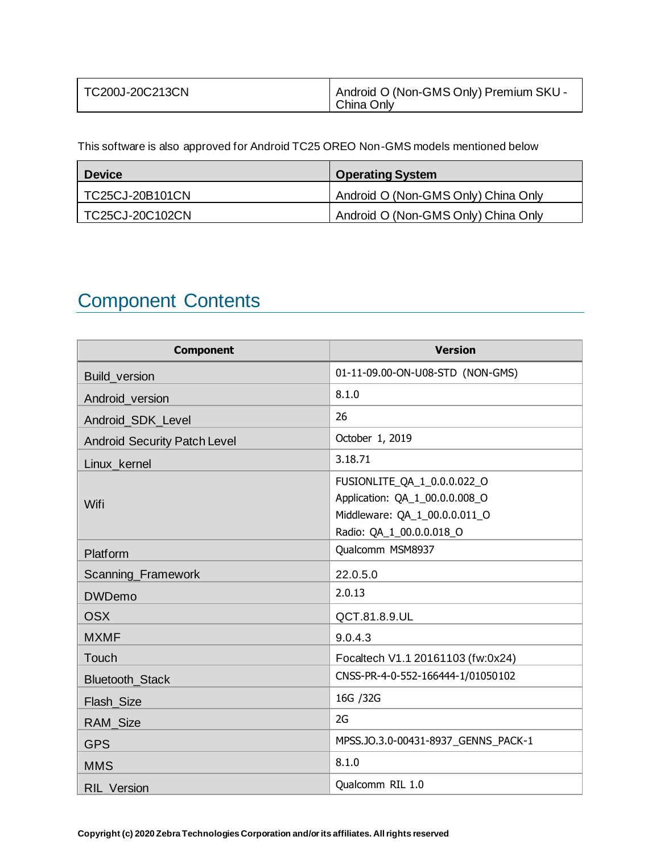| TC200J-20C213CN | Android O (Non-GMS Only) Premium SKU - |
|-----------------|----------------------------------------|
|                 | China Only                             |

This software is also approved for Android TC25 OREO Non-GMS models mentioned below

| <b>Device</b>   | <b>Operating System</b>             |
|-----------------|-------------------------------------|
| TC25CJ-20B101CN | Android O (Non-GMS Only) China Only |
| TC25CJ-20C102CN | Android O (Non-GMS Only) China Only |

# <span id="page-4-0"></span>Component Contents

| <b>Component</b>                    | <b>Version</b>                                                                                                             |
|-------------------------------------|----------------------------------------------------------------------------------------------------------------------------|
| <b>Build version</b>                | 01-11-09.00-ON-U08-STD (NON-GMS)                                                                                           |
| Android version                     | 8.1.0                                                                                                                      |
| Android_SDK_Level                   | 26                                                                                                                         |
| <b>Android Security Patch Level</b> | October 1, 2019                                                                                                            |
| Linux_kernel                        | 3.18.71                                                                                                                    |
| Wifi                                | FUSIONLITE_QA_1_0.0.0.022_O<br>Application: QA_1_00.0.0.008_O<br>Middleware: QA_1_00.0.0.011_O<br>Radio: QA_1_00.0.0.018_O |
| Platform                            | Qualcomm MSM8937                                                                                                           |
| Scanning_Framework                  | 22.0.5.0                                                                                                                   |
| <b>DWDemo</b>                       | 2.0.13                                                                                                                     |
| <b>OSX</b>                          | QCT.81.8.9.UL                                                                                                              |
| <b>MXMF</b>                         | 9.0.4.3                                                                                                                    |
| Touch                               | Focaltech V1.1 20161103 (fw:0x24)                                                                                          |
| Bluetooth_Stack                     | CNSS-PR-4-0-552-166444-1/01050102                                                                                          |
| Flash_Size                          | 16G /32G                                                                                                                   |
| RAM_Size                            | 2G                                                                                                                         |
| <b>GPS</b>                          | MPSS.JO.3.0-00431-8937 GENNS PACK-1                                                                                        |
| <b>MMS</b>                          | 8.1.0                                                                                                                      |
| <b>RIL Version</b>                  | Qualcomm RIL 1.0                                                                                                           |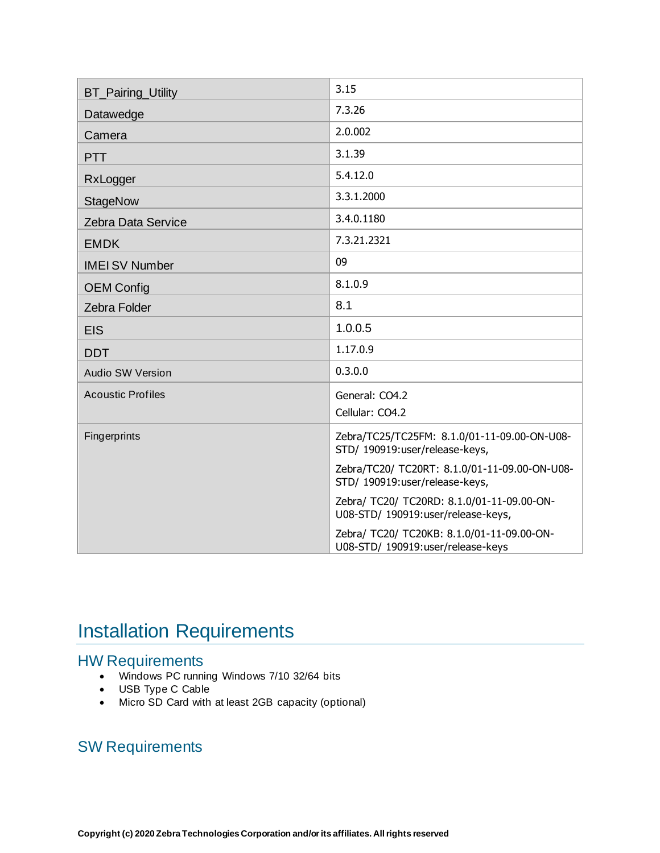| <b>BT_Pairing_Utility</b> | 3.15                                                                             |
|---------------------------|----------------------------------------------------------------------------------|
| Datawedge                 | 7.3.26                                                                           |
| Camera                    | 2.0.002                                                                          |
| <b>PTT</b>                | 3.1.39                                                                           |
| RxLogger                  | 5.4.12.0                                                                         |
| <b>StageNow</b>           | 3.3.1.2000                                                                       |
| Zebra Data Service        | 3.4.0.1180                                                                       |
| <b>EMDK</b>               | 7.3.21.2321                                                                      |
| <b>IMEI SV Number</b>     | 09                                                                               |
| <b>OEM Config</b>         | 8.1.0.9                                                                          |
| <b>Zebra Folder</b>       | 8.1                                                                              |
| <b>EIS</b>                | 1.0.0.5                                                                          |
| <b>DDT</b>                | 1.17.0.9                                                                         |
| <b>Audio SW Version</b>   | 0.3.0.0                                                                          |
| <b>Acoustic Profiles</b>  | General: CO4.2<br>Cellular: CO4.2                                                |
| Fingerprints              | Zebra/TC25/TC25FM: 8.1.0/01-11-09.00-ON-U08-<br>STD/ 190919:user/release-keys,   |
|                           | Zebra/TC20/ TC20RT: 8.1.0/01-11-09.00-ON-U08-<br>STD/ 190919:user/release-keys,  |
|                           | Zebra/ TC20/ TC20RD: 8.1.0/01-11-09.00-ON-<br>U08-STD/ 190919:user/release-keys, |
|                           | Zebra/ TC20/ TC20KB: 8.1.0/01-11-09.00-ON-<br>U08-STD/ 190919:user/release-keys  |

# <span id="page-5-0"></span>**Installation Requirements**

### HW Requirements

- Windows PC running Windows 7/10 32/64 bits
- USB Type C Cable
- Micro SD Card with at least 2GB capacity (optional)

### SW Requirements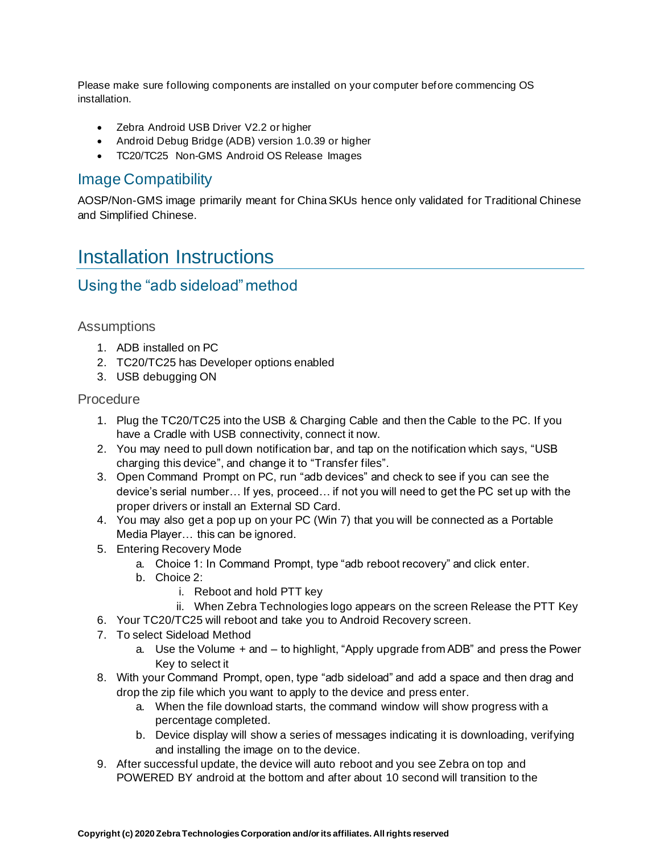Please make sure following components are installed on your computer before commencing OS installation.

- Zebra Android USB Driver V2.2 or higher
- Android Debug Bridge (ADB) version 1.0.39 or higher
- TC20/TC25 Non-GMS Android OS Release Images

#### Image Compatibility

AOSP/Non-GMS image primarily meant for China SKUs hence only validated for Traditional Chinese and Simplified Chinese.

## <span id="page-6-0"></span>Installation Instructions

### Using the "adb sideload" method

#### **Assumptions**

- 1. ADB installed on PC
- 2. TC20/TC25 has Developer options enabled
- 3. USB debugging ON

#### **Procedure**

- 1. Plug the TC20/TC25 into the USB & Charging Cable and then the Cable to the PC. If you have a Cradle with USB connectivity, connect it now.
- 2. You may need to pull down notification bar, and tap on the notification which says, "USB charging this device", and change it to "Transfer files".
- 3. Open Command Prompt on PC, run "adb devices" and check to see if you can see the device's serial number… If yes, proceed… if not you will need to get the PC set up with the proper drivers or install an External SD Card.
- 4. You may also get a pop up on your PC (Win 7) that you will be connected as a Portable Media Player… this can be ignored.
- 5. Entering Recovery Mode
	- a. Choice 1: In Command Prompt, type "adb reboot recovery" and click enter.
	- b. Choice 2:
		- i. Reboot and hold PTT key
		- ii. When Zebra Technologies logo appears on the screen Release the PTT Key
- 6. Your TC20/TC25 will reboot and take you to Android Recovery screen.
- 7. To select Sideload Method
	- a. Use the Volume + and to highlight, "Apply upgrade from ADB" and press the Power Key to select it
- 8. With your Command Prompt, open, type "adb sideload" and add a space and then drag and drop the zip file which you want to apply to the device and press enter.
	- a. When the file download starts, the command window will show progress with a percentage completed.
	- b. Device display will show a series of messages indicating it is downloading, verifying and installing the image on to the device.
- 9. After successful update, the device will auto reboot and you see Zebra on top and POWERED BY android at the bottom and after about 10 second will transition to the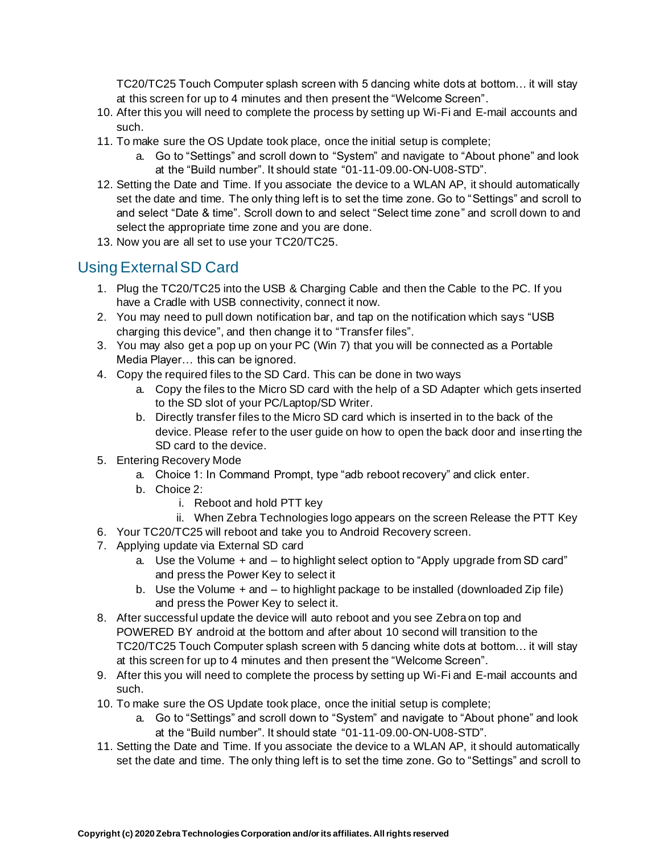TC20/TC25 Touch Computer splash screen with 5 dancing white dots at bottom… it will stay at this screen for up to 4 minutes and then present the "Welcome Screen".

- 10. After this you will need to complete the process by setting up Wi-Fi and E-mail accounts and such.
- 11. To make sure the OS Update took place, once the initial setup is complete;
	- a. Go to "Settings" and scroll down to "System" and navigate to "About phone" and look at the "Build number". It should state "01-11-09.00-ON-U08-STD".
- 12. Setting the Date and Time. If you associate the device to a WLAN AP, it should automatically set the date and time. The only thing left is to set the time zone. Go to "Settings" and scroll to and select "Date & time". Scroll down to and select "Select time zone" and scroll down to and select the appropriate time zone and you are done.
- 13. Now you are all set to use your TC20/TC25.

### Using External SD Card

- 1. Plug the TC20/TC25 into the USB & Charging Cable and then the Cable to the PC. If you have a Cradle with USB connectivity, connect it now.
- 2. You may need to pull down notification bar, and tap on the notification which says "USB charging this device", and then change it to "Transfer files".
- 3. You may also get a pop up on your PC (Win 7) that you will be connected as a Portable Media Player… this can be ignored.
- 4. Copy the required files to the SD Card. This can be done in two ways
	- a. Copy the files to the Micro SD card with the help of a SD Adapter which gets inserted to the SD slot of your PC/Laptop/SD Writer.
	- b. Directly transfer files to the Micro SD card which is inserted in to the back of the device. Please refer to the user guide on how to open the back door and inserting the SD card to the device.
- 5. Entering Recovery Mode
	- a. Choice 1: In Command Prompt, type "adb reboot recovery" and click enter.
	- b. Choice 2:
		- i. Reboot and hold PTT key
		- ii. When Zebra Technologies logo appears on the screen Release the PTT Key
- 6. Your TC20/TC25 will reboot and take you to Android Recovery screen.
- 7. Applying update via External SD card
	- a. Use the Volume + and to highlight select option to "Apply upgrade from SD card" and press the Power Key to select it
	- b. Use the Volume + and to highlight package to be installed (downloaded Zip file) and press the Power Key to select it.
- 8. After successful update the device will auto reboot and you see Zebra on top and POWERED BY android at the bottom and after about 10 second will transition to the TC20/TC25 Touch Computer splash screen with 5 dancing white dots at bottom… it will stay at this screen for up to 4 minutes and then present the "Welcome Screen".
- 9. After this you will need to complete the process by setting up Wi-Fi and E-mail accounts and such.
- 10. To make sure the OS Update took place, once the initial setup is complete;
	- a. Go to "Settings" and scroll down to "System" and navigate to "About phone" and look at the "Build number". It should state "01-11-09.00-ON-U08-STD".
- 11. Setting the Date and Time. If you associate the device to a WLAN AP, it should automatically set the date and time. The only thing left is to set the time zone. Go to "Settings" and scroll to